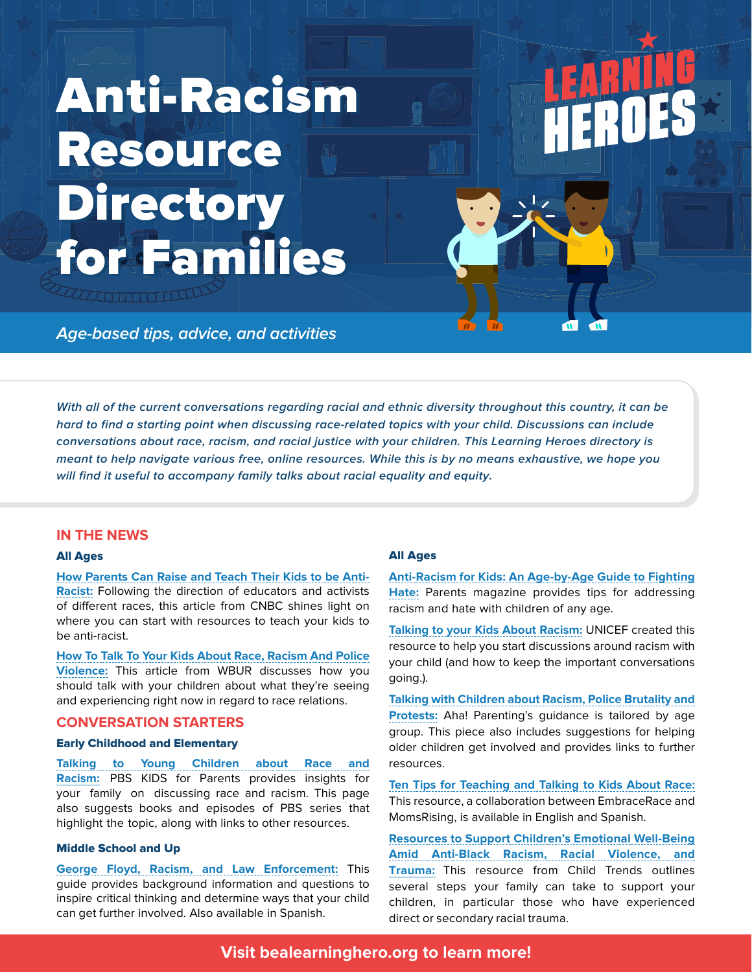# Anti-Racism Resource **Directory** for Families

**DETERMINER** 

**Age-based tips, advice, and activities**

**With all of the current conversations regarding racial and ethnic diversity throughout this country, it can be hard to find a starting point when discussing race-related topics with your child. Discussions can include conversations about race, racism, and racial justice with your children. This Learning Heroes directory is meant to help navigate various free, online resources. While this is by no means exhaustive, we hope you will find it useful to accompany family talks about racial equality and equity.**

# **IN THE NEWS**

#### All Ages

**[How Parents Can Raise and Teach Their Kids to be Anti-](https://www.cnbc.com/2020/06/05/how-parents-can-raise-teach-kids-to-be-anti-racist-educators-and-activists.html)[Racist:](https://www.cnbc.com/2020/06/05/how-parents-can-raise-teach-kids-to-be-anti-racist-educators-and-activists.html)** Following the direction of educators and activists of different races, this article from CNBC shines light on where you can start with resources to teach your kids to be anti-racist.

**[How To Talk To Your Kids About Race, Racism And Police](https://www.wbur.org/onpoint/2020/06/02/teach-talk-children-racism-violence-protests-race)  [Violence:](https://www.wbur.org/onpoint/2020/06/02/teach-talk-children-racism-violence-protests-race)** This article from WBUR discusses how you should talk with your children about what they're seeing and experiencing right now in regard to race relations.

# **CONVERSATION STARTERS**

## Early Childhood and Elementary

**[Talking to Young Children about Race and](https://www.pbs.org/parents/talking-about-racism)  Racism:** PBS KIDS for Parents provides insights for your family on discussing race and racism. This page also suggests books and episodes of PBS series that highlight the topic, along with links to other resources.

## Middle School and Up

**[George Floyd, Racism, and Law Enforcement:](https://www.adl.org/education/resources/tools-and-strategies/george-floyd-racism-and-law-enforcement-in-english-and-en)** This guide provides background information and questions to inspire critical thinking and determine ways that your child can get further involved. Also available in Spanish.

# All Ages

**[Anti-Racism for Kids: An Age-by-Age Guide to Fighting](https://www.parents.com/parenting/better-parenting/advice/how-to-teach-your-kids-to-fight-hate-an-age-by-age-guide/) [Hate:](https://www.parents.com/parenting/better-parenting/advice/how-to-teach-your-kids-to-fight-hate-an-age-by-age-guide/)** Parents magazine provides tips for addressing racism and hate with children of any age.

**[Talking to your Kids About Racism:](https://www.unicef.org/parenting/talking-to-your-kids-about-racism)** UNICEF created this resource to help you start discussions around racism with your child (and how to keep the important conversations going.).

**[Talking with Children about Racism, Police Brutality and](https://www.ahaparenting.com/blog/talking-with-children-about-racism-police-brutality-and-protests)  [Protests:](https://www.ahaparenting.com/blog/talking-with-children-about-racism-police-brutality-and-protests)** Aha! Parenting's guidance is tailored by age group. This piece also includes suggestions for helping older children get involved and provides links to further resources.

**[Ten Tips for Teaching and Talking to Kids About Race:](https://www.momsrising.org/blog/ten-tips-for-teaching-and-talking-to-kids-about-race)**  This resource, a collaboration between EmbraceRace and MomsRising, is available in English and Spanish.

**[Resources to Support Children's Emotional Well-Being](https://www.childtrends.org/publications/resources-to-support-childrens-emotional-well-being-amid-anti-black-racism-racial-violence-and-trauma)  [Amid Anti-Black Racism, Racial Violence, and](https://www.childtrends.org/publications/resources-to-support-childrens-emotional-well-being-amid-anti-black-racism-racial-violence-and-trauma) Trauma:** This resource from Child Trends outlines several steps your family can take to support your children, in particular those who have experienced direct or secondary racial trauma.

# **Visit [bealearninghero.org](http://bealearninghero.org) to learn more!**